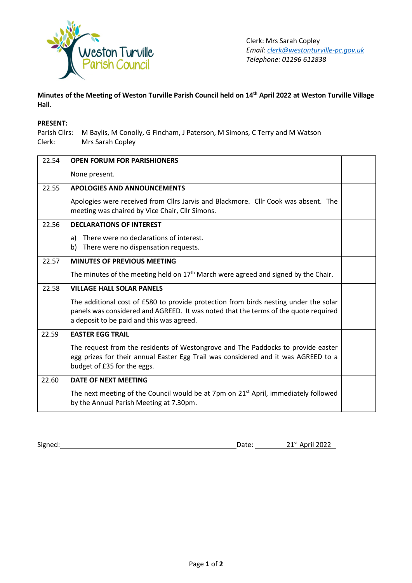

## **Minutes of the Meeting of Weston Turville Parish Council held on 14th April 2022 at Weston Turville Village Hall.**

## **PRESENT:**

Parish Cllrs: M Baylis, M Conolly, G Fincham, J Paterson, M Simons, C Terry and M Watson Clerk: Mrs Sarah Copley

| 22.54 | <b>OPEN FORUM FOR PARISHIONERS</b>                                                                                                                                                                                       |  |
|-------|--------------------------------------------------------------------------------------------------------------------------------------------------------------------------------------------------------------------------|--|
|       | None present.                                                                                                                                                                                                            |  |
| 22.55 | <b>APOLOGIES AND ANNOUNCEMENTS</b>                                                                                                                                                                                       |  |
|       | Apologies were received from Cllrs Jarvis and Blackmore. Cllr Cook was absent. The<br>meeting was chaired by Vice Chair, Cllr Simons.                                                                                    |  |
| 22.56 | <b>DECLARATIONS OF INTEREST</b>                                                                                                                                                                                          |  |
|       | There were no declarations of interest.<br>a)                                                                                                                                                                            |  |
|       | There were no dispensation requests.<br>b)                                                                                                                                                                               |  |
| 22.57 | <b>MINUTES OF PREVIOUS MEETING</b>                                                                                                                                                                                       |  |
|       | The minutes of the meeting held on $17th$ March were agreed and signed by the Chair.                                                                                                                                     |  |
| 22.58 | <b>VILLAGE HALL SOLAR PANELS</b>                                                                                                                                                                                         |  |
|       | The additional cost of £580 to provide protection from birds nesting under the solar<br>panels was considered and AGREED. It was noted that the terms of the quote required<br>a deposit to be paid and this was agreed. |  |
| 22.59 | <b>EASTER EGG TRAIL</b>                                                                                                                                                                                                  |  |
|       | The request from the residents of Westongrove and The Paddocks to provide easter<br>egg prizes for their annual Easter Egg Trail was considered and it was AGREED to a<br>budget of £35 for the eggs.                    |  |
| 22.60 | DATE OF NEXT MEETING                                                                                                                                                                                                     |  |
|       | The next meeting of the Council would be at 7pm on 21 <sup>st</sup> April, immediately followed<br>by the Annual Parish Meeting at 7.30pm.                                                                               |  |

Signed: 21<sup>st</sup> April 2022